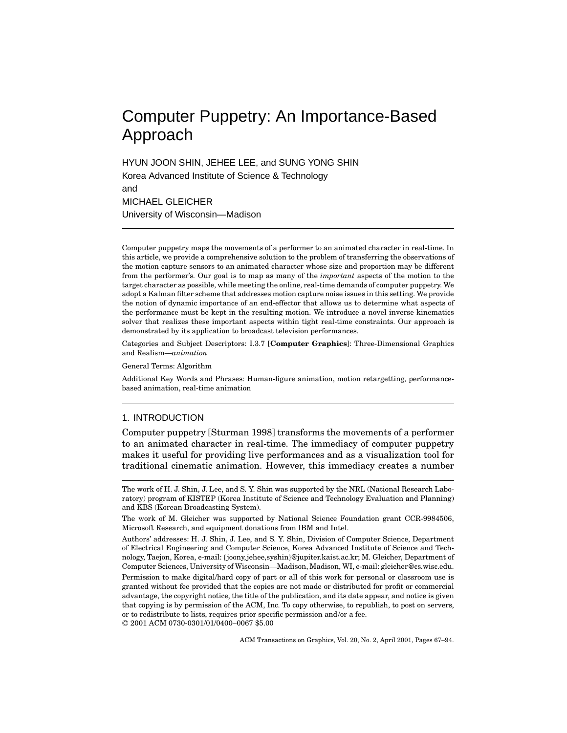# Computer Puppetry: An Importance-Based Approach

HYUN JOON SHIN, JEHEE LEE, and SUNG YONG SHIN Korea Advanced Institute of Science & Technology and MICHAEL GLEICHER University of Wisconsin—Madison

Computer puppetry maps the movements of a performer to an animated character in real-time. In this article, we provide a comprehensive solution to the problem of transferring the observations of the motion capture sensors to an animated character whose size and proportion may be different from the performer's. Our goal is to map as many of the *important* aspects of the motion to the target character as possible, while meeting the online, real-time demands of computer puppetry. We adopt a Kalman filter scheme that addresses motion capture noise issues in this setting. We provide the notion of dynamic importance of an end-effector that allows us to determine what aspects of the performance must be kept in the resulting motion. We introduce a novel inverse kinematics solver that realizes these important aspects within tight real-time constraints. Our approach is demonstrated by its application to broadcast television performances.

Categories and Subject Descriptors: I.3.7 [**Computer Graphics**]: Three-Dimensional Graphics and Realism—*animation*

General Terms: Algorithm

Additional Key Words and Phrases: Human-figure animation, motion retargetting, performancebased animation, real-time animation

## 1. INTRODUCTION

Computer puppetry [Sturman 1998] transforms the movements of a performer to an animated character in real-time. The immediacy of computer puppetry makes it useful for providing live performances and as a visualization tool for traditional cinematic animation. However, this immediacy creates a number

°<sup>C</sup> 2001 ACM 0730-0301/01/0400–0067 \$5.00

ACM Transactions on Graphics, Vol. 20, No. 2, April 2001, Pages 67–94.

The work of H. J. Shin, J. Lee, and S. Y. Shin was supported by the NRL (National Research Laboratory) program of KISTEP (Korea Institute of Science and Technology Evaluation and Planning) and KBS (Korean Broadcasting System).

The work of M. Gleicher was supported by National Science Foundation grant CCR-9984506, Microsoft Research, and equipment donations from IBM and Intel.

Authors' addresses: H. J. Shin, J. Lee, and S. Y. Shin, Division of Computer Science, Department of Electrical Engineering and Computer Science, Korea Advanced Institute of Science and Technology, Taejon, Korea, e-mail: {joony,jehee,syshin}@jupiter.kaist.ac.kr; M. Gleicher, Department of Computer Sciences, University of Wisconsin—Madison, Madison, WI, e-mail: gleicher@cs.wisc.edu. Permission to make digital/hard copy of part or all of this work for personal or classroom use is granted without fee provided that the copies are not made or distributed for profit or commercial advantage, the copyright notice, the title of the publication, and its date appear, and notice is given that copying is by permission of the ACM, Inc. To copy otherwise, to republish, to post on servers, or to redistribute to lists, requires prior specific permission and/or a fee.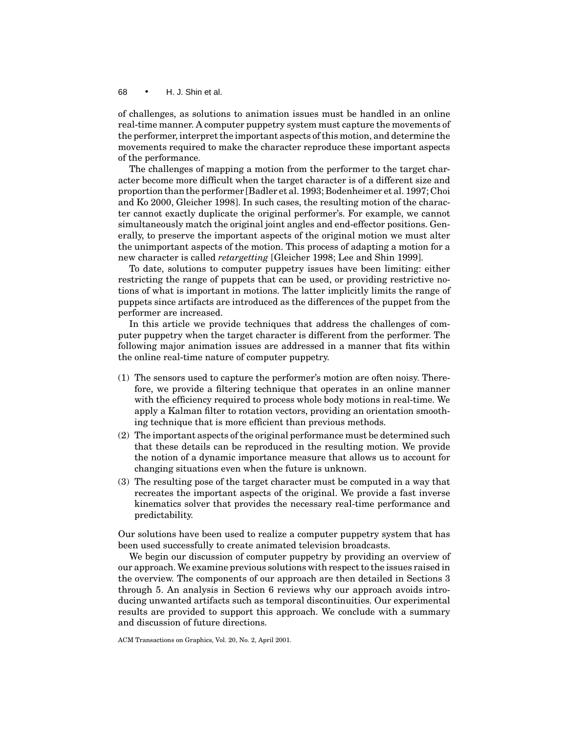of challenges, as solutions to animation issues must be handled in an online real-time manner. A computer puppetry system must capture the movements of the performer, interpret the important aspects of this motion, and determine the movements required to make the character reproduce these important aspects of the performance.

The challenges of mapping a motion from the performer to the target character become more difficult when the target character is of a different size and proportion than the performer [Badler et al. 1993; Bodenheimer et al. 1997; Choi and Ko 2000, Gleicher 1998]. In such cases, the resulting motion of the character cannot exactly duplicate the original performer's. For example, we cannot simultaneously match the original joint angles and end-effector positions. Generally, to preserve the important aspects of the original motion we must alter the unimportant aspects of the motion. This process of adapting a motion for a new character is called *retargetting* [Gleicher 1998; Lee and Shin 1999].

To date, solutions to computer puppetry issues have been limiting: either restricting the range of puppets that can be used, or providing restrictive notions of what is important in motions. The latter implicitly limits the range of puppets since artifacts are introduced as the differences of the puppet from the performer are increased.

In this article we provide techniques that address the challenges of computer puppetry when the target character is different from the performer. The following major animation issues are addressed in a manner that fits within the online real-time nature of computer puppetry.

- (1) The sensors used to capture the performer's motion are often noisy. Therefore, we provide a filtering technique that operates in an online manner with the efficiency required to process whole body motions in real-time. We apply a Kalman filter to rotation vectors, providing an orientation smoothing technique that is more efficient than previous methods.
- (2) The important aspects of the original performance must be determined such that these details can be reproduced in the resulting motion. We provide the notion of a dynamic importance measure that allows us to account for changing situations even when the future is unknown.
- (3) The resulting pose of the target character must be computed in a way that recreates the important aspects of the original. We provide a fast inverse kinematics solver that provides the necessary real-time performance and predictability.

Our solutions have been used to realize a computer puppetry system that has been used successfully to create animated television broadcasts.

We begin our discussion of computer puppetry by providing an overview of our approach. We examine previous solutions with respect to the issues raised in the overview. The components of our approach are then detailed in Sections 3 through 5. An analysis in Section 6 reviews why our approach avoids introducing unwanted artifacts such as temporal discontinuities. Our experimental results are provided to support this approach. We conclude with a summary and discussion of future directions.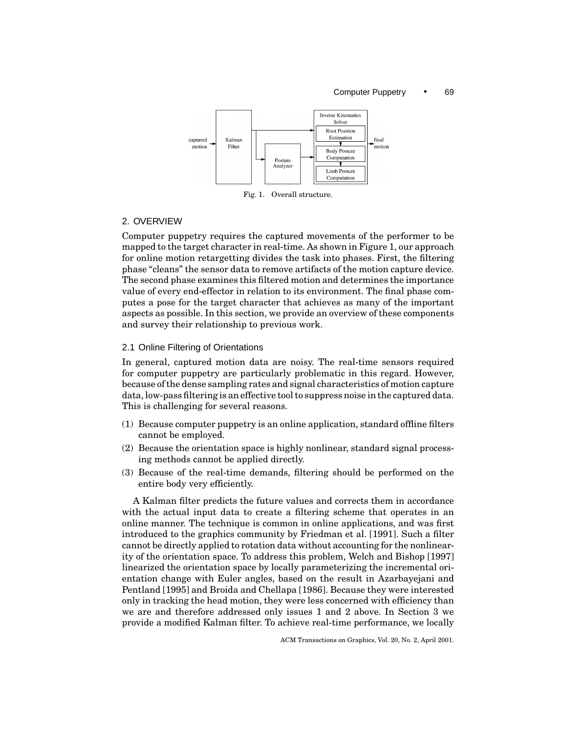#### Computer Puppetry • 69



Fig. 1. Overall structure.

# 2. OVERVIEW

Computer puppetry requires the captured movements of the performer to be mapped to the target character in real-time. As shown in Figure 1, our approach for online motion retargetting divides the task into phases. First, the filtering phase "cleans" the sensor data to remove artifacts of the motion capture device. The second phase examines this filtered motion and determines the importance value of every end-effector in relation to its environment. The final phase computes a pose for the target character that achieves as many of the important aspects as possible. In this section, we provide an overview of these components and survey their relationship to previous work.

## 2.1 Online Filtering of Orientations

In general, captured motion data are noisy. The real-time sensors required for computer puppetry are particularly problematic in this regard. However, because of the dense sampling rates and signal characteristics of motion capture data, low-pass filtering is an effective tool to suppress noise in the captured data. This is challenging for several reasons.

- (1) Because computer puppetry is an online application, standard offline filters cannot be employed.
- (2) Because the orientation space is highly nonlinear, standard signal processing methods cannot be applied directly.
- (3) Because of the real-time demands, filtering should be performed on the entire body very efficiently.

A Kalman filter predicts the future values and corrects them in accordance with the actual input data to create a filtering scheme that operates in an online manner. The technique is common in online applications, and was first introduced to the graphics community by Friedman et al. [1991]. Such a filter cannot be directly applied to rotation data without accounting for the nonlinearity of the orientation space. To address this problem, Welch and Bishop [1997] linearized the orientation space by locally parameterizing the incremental orientation change with Euler angles, based on the result in Azarbayejani and Pentland [1995] and Broida and Chellapa [1986]. Because they were interested only in tracking the head motion, they were less concerned with efficiency than we are and therefore addressed only issues 1 and 2 above. In Section 3 we provide a modified Kalman filter. To achieve real-time performance, we locally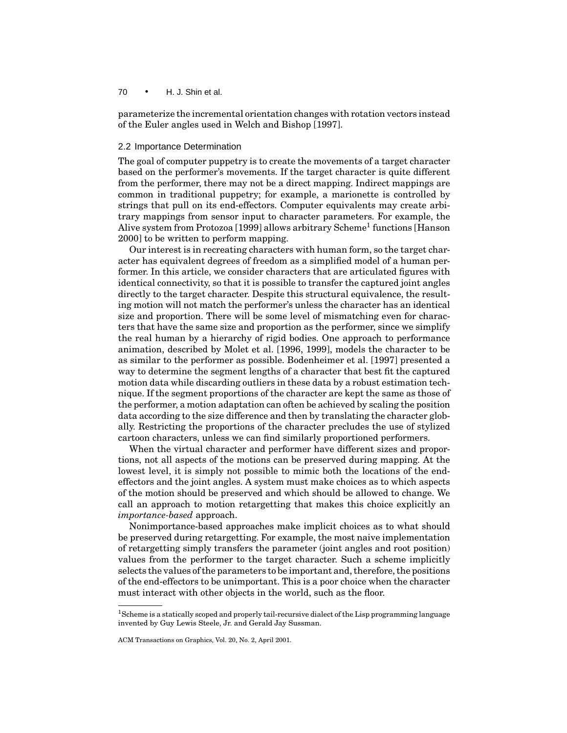parameterize the incremental orientation changes with rotation vectors instead of the Euler angles used in Welch and Bishop [1997].

## 2.2 Importance Determination

The goal of computer puppetry is to create the movements of a target character based on the performer's movements. If the target character is quite different from the performer, there may not be a direct mapping. Indirect mappings are common in traditional puppetry; for example, a marionette is controlled by strings that pull on its end-effectors. Computer equivalents may create arbitrary mappings from sensor input to character parameters. For example, the Alive system from Protozoa [1999] allows arbitrary Scheme<sup>1</sup> functions [Hanson 2000] to be written to perform mapping.

Our interest is in recreating characters with human form, so the target character has equivalent degrees of freedom as a simplified model of a human performer. In this article, we consider characters that are articulated figures with identical connectivity, so that it is possible to transfer the captured joint angles directly to the target character. Despite this structural equivalence, the resulting motion will not match the performer's unless the character has an identical size and proportion. There will be some level of mismatching even for characters that have the same size and proportion as the performer, since we simplify the real human by a hierarchy of rigid bodies. One approach to performance animation, described by Molet et al. [1996, 1999], models the character to be as similar to the performer as possible. Bodenheimer et al. [1997] presented a way to determine the segment lengths of a character that best fit the captured motion data while discarding outliers in these data by a robust estimation technique. If the segment proportions of the character are kept the same as those of the performer, a motion adaptation can often be achieved by scaling the position data according to the size difference and then by translating the character globally. Restricting the proportions of the character precludes the use of stylized cartoon characters, unless we can find similarly proportioned performers.

When the virtual character and performer have different sizes and proportions, not all aspects of the motions can be preserved during mapping. At the lowest level, it is simply not possible to mimic both the locations of the endeffectors and the joint angles. A system must make choices as to which aspects of the motion should be preserved and which should be allowed to change. We call an approach to motion retargetting that makes this choice explicitly an *importance-based* approach.

Nonimportance-based approaches make implicit choices as to what should be preserved during retargetting. For example, the most naive implementation of retargetting simply transfers the parameter (joint angles and root position) values from the performer to the target character. Such a scheme implicitly selects the values of the parameters to be important and, therefore, the positions of the end-effectors to be unimportant. This is a poor choice when the character must interact with other objects in the world, such as the floor.

<sup>&</sup>lt;sup>1</sup>Scheme is a statically scoped and properly tail-recursive dialect of the Lisp programming language invented by Guy Lewis Steele, Jr. and Gerald Jay Sussman.

ACM Transactions on Graphics, Vol. 20, No. 2, April 2001.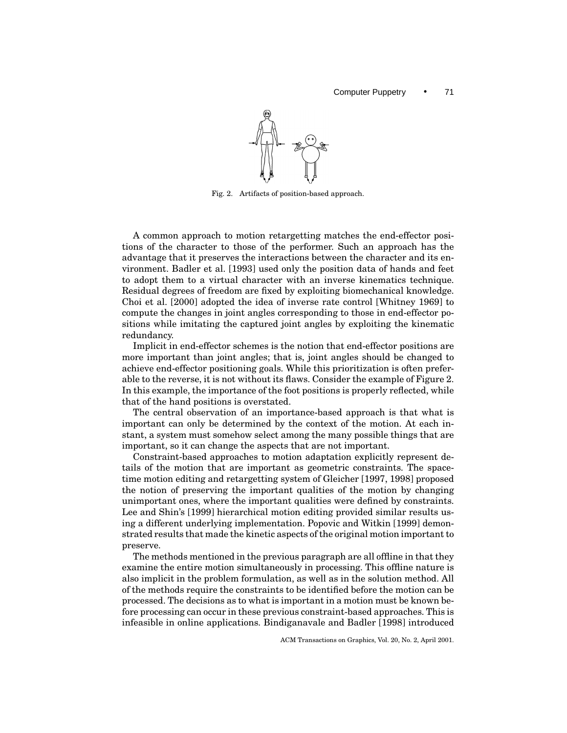

Fig. 2. Artifacts of position-based approach.

A common approach to motion retargetting matches the end-effector positions of the character to those of the performer. Such an approach has the advantage that it preserves the interactions between the character and its environment. Badler et al. [1993] used only the position data of hands and feet to adopt them to a virtual character with an inverse kinematics technique. Residual degrees of freedom are fixed by exploiting biomechanical knowledge. Choi et al. [2000] adopted the idea of inverse rate control [Whitney 1969] to compute the changes in joint angles corresponding to those in end-effector positions while imitating the captured joint angles by exploiting the kinematic redundancy.

Implicit in end-effector schemes is the notion that end-effector positions are more important than joint angles; that is, joint angles should be changed to achieve end-effector positioning goals. While this prioritization is often preferable to the reverse, it is not without its flaws. Consider the example of Figure 2. In this example, the importance of the foot positions is properly reflected, while that of the hand positions is overstated.

The central observation of an importance-based approach is that what is important can only be determined by the context of the motion. At each instant, a system must somehow select among the many possible things that are important, so it can change the aspects that are not important.

Constraint-based approaches to motion adaptation explicitly represent details of the motion that are important as geometric constraints. The spacetime motion editing and retargetting system of Gleicher [1997, 1998] proposed the notion of preserving the important qualities of the motion by changing unimportant ones, where the important qualities were defined by constraints. Lee and Shin's [1999] hierarchical motion editing provided similar results using a different underlying implementation. Popovic and Witkin [1999] demonstrated results that made the kinetic aspects of the original motion important to preserve.

The methods mentioned in the previous paragraph are all offline in that they examine the entire motion simultaneously in processing. This offline nature is also implicit in the problem formulation, as well as in the solution method. All of the methods require the constraints to be identified before the motion can be processed. The decisions as to what is important in a motion must be known before processing can occur in these previous constraint-based approaches. This is infeasible in online applications. Bindiganavale and Badler [1998] introduced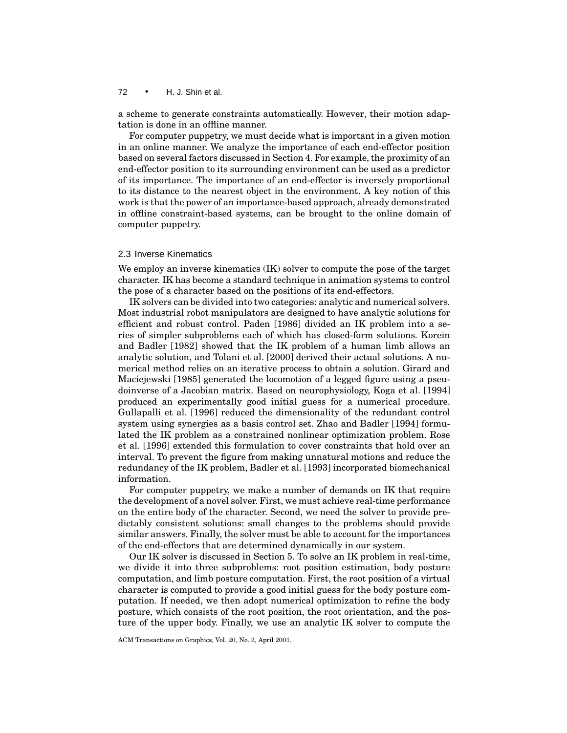a scheme to generate constraints automatically. However, their motion adaptation is done in an offline manner.

For computer puppetry, we must decide what is important in a given motion in an online manner. We analyze the importance of each end-effector position based on several factors discussed in Section 4. For example, the proximity of an end-effector position to its surrounding environment can be used as a predictor of its importance. The importance of an end-effector is inversely proportional to its distance to the nearest object in the environment. A key notion of this work is that the power of an importance-based approach, already demonstrated in offline constraint-based systems, can be brought to the online domain of computer puppetry.

#### 2.3 Inverse Kinematics

We employ an inverse kinematics (IK) solver to compute the pose of the target character. IK has become a standard technique in animation systems to control the pose of a character based on the positions of its end-effectors.

IK solvers can be divided into two categories: analytic and numerical solvers. Most industrial robot manipulators are designed to have analytic solutions for efficient and robust control. Paden [1986] divided an IK problem into a series of simpler subproblems each of which has closed-form solutions. Korein and Badler [1982] showed that the IK problem of a human limb allows an analytic solution, and Tolani et al. [2000] derived their actual solutions. A numerical method relies on an iterative process to obtain a solution. Girard and Maciejewski [1985] generated the locomotion of a legged figure using a pseudoinverse of a Jacobian matrix. Based on neurophysiology, Koga et al. [1994] produced an experimentally good initial guess for a numerical procedure. Gullapalli et al. [1996] reduced the dimensionality of the redundant control system using synergies as a basis control set. Zhao and Badler [1994] formulated the IK problem as a constrained nonlinear optimization problem. Rose et al. [1996] extended this formulation to cover constraints that hold over an interval. To prevent the figure from making unnatural motions and reduce the redundancy of the IK problem, Badler et al. [1993] incorporated biomechanical information.

For computer puppetry, we make a number of demands on IK that require the development of a novel solver. First, we must achieve real-time performance on the entire body of the character. Second, we need the solver to provide predictably consistent solutions: small changes to the problems should provide similar answers. Finally, the solver must be able to account for the importances of the end-effectors that are determined dynamically in our system.

Our IK solver is discussed in Section 5. To solve an IK problem in real-time, we divide it into three subproblems: root position estimation, body posture computation, and limb posture computation. First, the root position of a virtual character is computed to provide a good initial guess for the body posture computation. If needed, we then adopt numerical optimization to refine the body posture, which consists of the root position, the root orientation, and the posture of the upper body. Finally, we use an analytic IK solver to compute the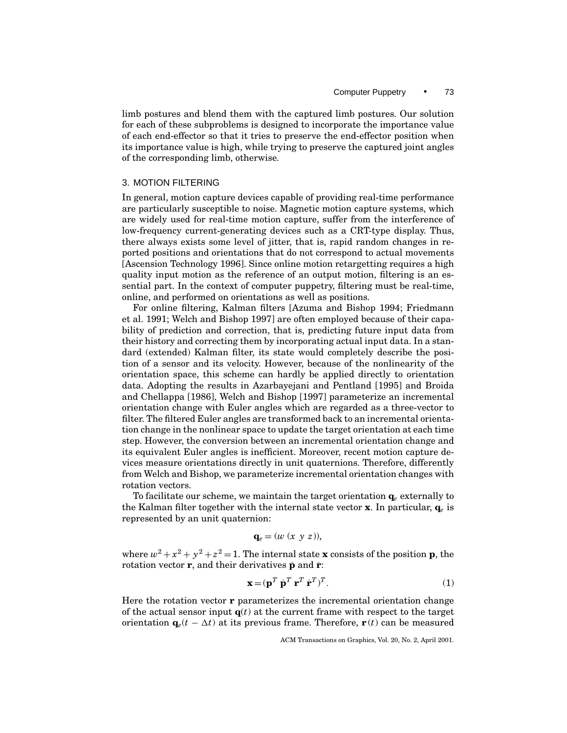limb postures and blend them with the captured limb postures. Our solution for each of these subproblems is designed to incorporate the importance value of each end-effector so that it tries to preserve the end-effector position when its importance value is high, while trying to preserve the captured joint angles of the corresponding limb, otherwise.

#### 3. MOTION FILTERING

In general, motion capture devices capable of providing real-time performance are particularly susceptible to noise. Magnetic motion capture systems, which are widely used for real-time motion capture, suffer from the interference of low-frequency current-generating devices such as a CRT-type display. Thus, there always exists some level of jitter, that is, rapid random changes in reported positions and orientations that do not correspond to actual movements [Ascension Technology 1996]. Since online motion retargetting requires a high quality input motion as the reference of an output motion, filtering is an essential part. In the context of computer puppetry, filtering must be real-time, online, and performed on orientations as well as positions.

For online filtering, Kalman filters [Azuma and Bishop 1994; Friedmann et al. 1991; Welch and Bishop 1997] are often employed because of their capability of prediction and correction, that is, predicting future input data from their history and correcting them by incorporating actual input data. In a standard (extended) Kalman filter, its state would completely describe the position of a sensor and its velocity. However, because of the nonlinearity of the orientation space, this scheme can hardly be applied directly to orientation data. Adopting the results in Azarbayejani and Pentland [1995] and Broida and Chellappa [1986], Welch and Bishop [1997] parameterize an incremental orientation change with Euler angles which are regarded as a three-vector to filter. The filtered Euler angles are transformed back to an incremental orientation change in the nonlinear space to update the target orientation at each time step. However, the conversion between an incremental orientation change and its equivalent Euler angles is inefficient. Moreover, recent motion capture devices measure orientations directly in unit quaternions. Therefore, differently from Welch and Bishop, we parameterize incremental orientation changes with rotation vectors.

To facilitate our scheme, we maintain the target orientation **q***<sup>e</sup>* externally to the Kalman filter together with the internal state vector **x**. In particular,  $q_e$  is represented by an unit quaternion:

$$
\mathbf{q}_e = (w \ (x \ y \ z)),
$$

where  $w^2 + x^2 + y^2 + z^2 = 1$ . The internal state **x** consists of the position **p**, the rotation vector **r**, and their derivatives **p** and **r**:

$$
\mathbf{x} = (\mathbf{p}^T \mathbf{p}^T \mathbf{r}^T \mathbf{r}^T)^T.
$$
 (1)

Here the rotation vector **r** parameterizes the incremental orientation change of the actual sensor input  $q(t)$  at the current frame with respect to the target orientation  $\mathbf{q}_e(t - \Delta t)$  at its previous frame. Therefore, **r**(*t*) can be measured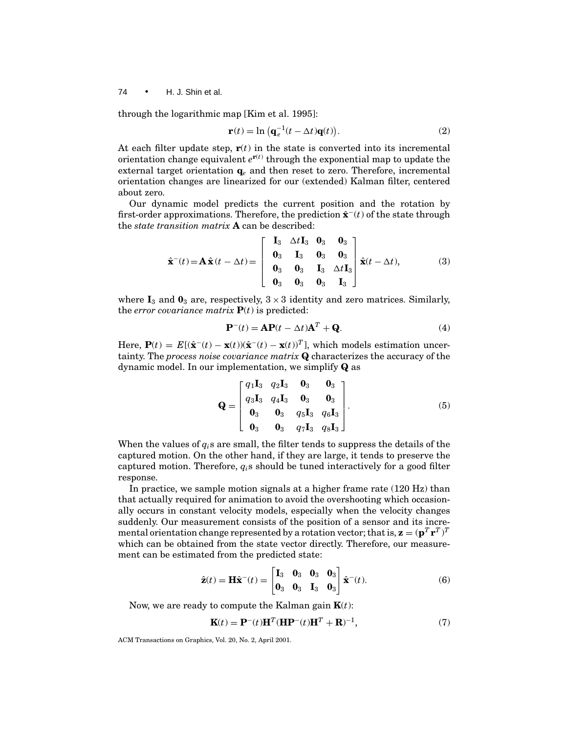through the logarithmic map [Kim et al. 1995]:

$$
\mathbf{r}(t) = \ln \left( \mathbf{q}_e^{-1}(t - \Delta t) \mathbf{q}(t) \right). \tag{2}
$$

At each filter update step,  $\mathbf{r}(t)$  in the state is converted into its incremental orientation change equivalent  $e^{r(t)}$  through the exponential map to update the external target orientation  $q_e$  and then reset to zero. Therefore, incremental orientation changes are linearized for our (extended) Kalman filter, centered about zero.

Our dynamic model predicts the current position and the rotation by first-order approximations. Therefore, the prediction  $\hat{\mathbf{x}}^-(t)$  of the state through the *state transition matrix* **A** can be described:

$$
\hat{\mathbf{x}}^{-}(t) = \mathbf{A}\hat{\mathbf{x}}(t - \Delta t) = \begin{bmatrix} \mathbf{I}_3 & \Delta t \mathbf{I}_3 & \mathbf{0}_3 & \mathbf{0}_3 \\ \mathbf{0}_3 & \mathbf{I}_3 & \mathbf{0}_3 & \mathbf{0}_3 \\ \mathbf{0}_3 & \mathbf{0}_3 & \mathbf{I}_3 & \Delta t \mathbf{I}_3 \\ \mathbf{0}_3 & \mathbf{0}_3 & \mathbf{0}_3 & \mathbf{I}_3 \end{bmatrix} \hat{\mathbf{x}}(t - \Delta t),\tag{3}
$$

where  $I_3$  and  $O_3$  are, respectively,  $3 \times 3$  identity and zero matrices. Similarly, the *error covariance matrix*  $P(t)$  is predicted:

$$
\mathbf{P}^{-}(t) = \mathbf{A}\mathbf{P}(t - \Delta t)\mathbf{A}^{T} + \mathbf{Q}.
$$
 (4)

Here,  $P(t) = E[(\hat{\mathbf{x}}^-(t) - \mathbf{x}(t))(\hat{\mathbf{x}}^-(t) - \mathbf{x}(t))^T]$ , which models estimation uncertainty. The *process noise covariance matrix* **Q** characterizes the accuracy of the dynamic model. In our implementation, we simplify **Q** as

$$
\mathbf{Q} = \begin{bmatrix} q_1 \mathbf{I}_3 & q_2 \mathbf{I}_3 & \mathbf{0}_3 & \mathbf{0}_3 \\ q_3 \mathbf{I}_3 & q_4 \mathbf{I}_3 & \mathbf{0}_3 & \mathbf{0}_3 \\ \mathbf{0}_3 & \mathbf{0}_3 & q_5 \mathbf{I}_3 & q_6 \mathbf{I}_3 \\ \mathbf{0}_3 & \mathbf{0}_3 & q_7 \mathbf{I}_3 & q_8 \mathbf{I}_3 \end{bmatrix} .
$$
 (5)

When the values of *qi*s are small, the filter tends to suppress the details of the captured motion. On the other hand, if they are large, it tends to preserve the captured motion. Therefore,  $q_i$ s should be tuned interactively for a good filter response.

In practice, we sample motion signals at a higher frame rate (120 Hz) than that actually required for animation to avoid the overshooting which occasionally occurs in constant velocity models, especially when the velocity changes suddenly. Our measurement consists of the position of a sensor and its incremental orientation change represented by a rotation vector; that is,  $\mathbf{z} = (\mathbf{p}^T \mathbf{r}^T)^T$ which can be obtained from the state vector directly. Therefore, our measurement can be estimated from the predicted state:

$$
\hat{\mathbf{z}}(t) = \mathbf{H}\hat{\mathbf{x}}^{-}(t) = \begin{bmatrix} \mathbf{I}_3 & \mathbf{0}_3 & \mathbf{0}_3 & \mathbf{0}_3 \\ \mathbf{0}_3 & \mathbf{0}_3 & \mathbf{I}_3 & \mathbf{0}_3 \end{bmatrix} \hat{\mathbf{x}}^{-}(t). \tag{6}
$$

Now, we are ready to compute the Kalman gain  $\mathbf{K}(t)$ :

$$
\mathbf{K}(t) = \mathbf{P}^{-}(t)\mathbf{H}^{T}(\mathbf{H}\mathbf{P}^{-}(t)\mathbf{H}^{T} + \mathbf{R})^{-1},
$$
\n(7)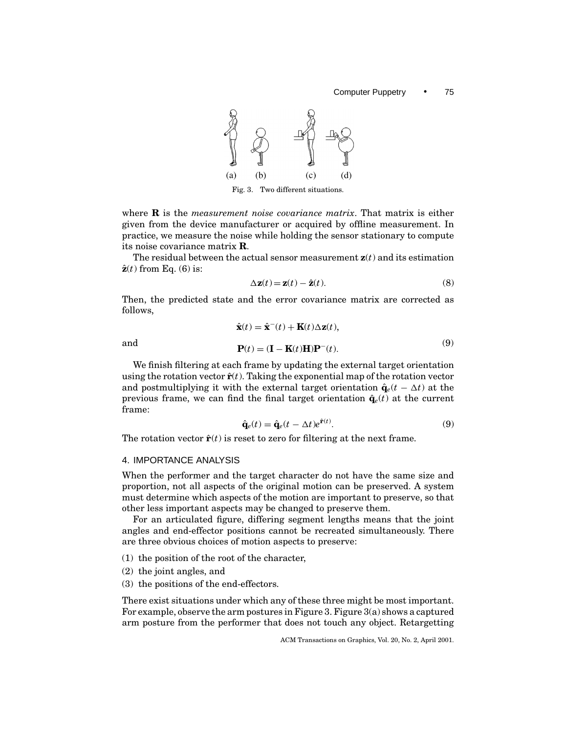

Fig. 3. Two different situations.

where **R** is the *measurement noise covariance matrix*. That matrix is either given from the device manufacturer or acquired by offline measurement. In practice, we measure the noise while holding the sensor stationary to compute its noise covariance matrix **R**.

The residual between the actual sensor measurement  $z(t)$  and its estimation  $\hat{\mathbf{z}}(t)$  from Eq. (6) is:

$$
\Delta \mathbf{z}(t) = \mathbf{z}(t) - \hat{\mathbf{z}}(t). \tag{8}
$$

Then, the predicted state and the error covariance matrix are corrected as follows,

and  
\n
$$
\hat{\mathbf{x}}(t) = \hat{\mathbf{x}}^{-}(t) + \mathbf{K}(t)\Delta \mathbf{z}(t),
$$
\n
$$
\mathbf{P}(t) = (\mathbf{I} - \mathbf{K}(t)\mathbf{H})\mathbf{P}^{-}(t).
$$
\n(9)

We finish filtering at each frame by updating the external target orientation using the rotation vector  $\hat{\mathbf{r}}(t)$ . Taking the exponential map of the rotation vector and postmultiplying it with the external target orientation  $\hat{\mathbf{q}}_e(t - \Delta t)$  at the previous frame, we can find the final target orientation  $\hat{\mathbf{q}}_e(t)$  at the current frame:

$$
\hat{\mathbf{q}}_e(t) = \hat{\mathbf{q}}_e(t - \Delta t)e^{\hat{\mathbf{r}}(t)}.
$$
\n(9)

The rotation vector  $\hat{\mathbf{r}}(t)$  is reset to zero for filtering at the next frame.

## 4. IMPORTANCE ANALYSIS

When the performer and the target character do not have the same size and proportion, not all aspects of the original motion can be preserved. A system must determine which aspects of the motion are important to preserve, so that other less important aspects may be changed to preserve them.

For an articulated figure, differing segment lengths means that the joint angles and end-effector positions cannot be recreated simultaneously. There are three obvious choices of motion aspects to preserve:

- (1) the position of the root of the character,
- (2) the joint angles, and
- (3) the positions of the end-effectors.

There exist situations under which any of these three might be most important. For example, observe the arm postures in Figure 3. Figure 3(a) shows a captured arm posture from the performer that does not touch any object. Retargetting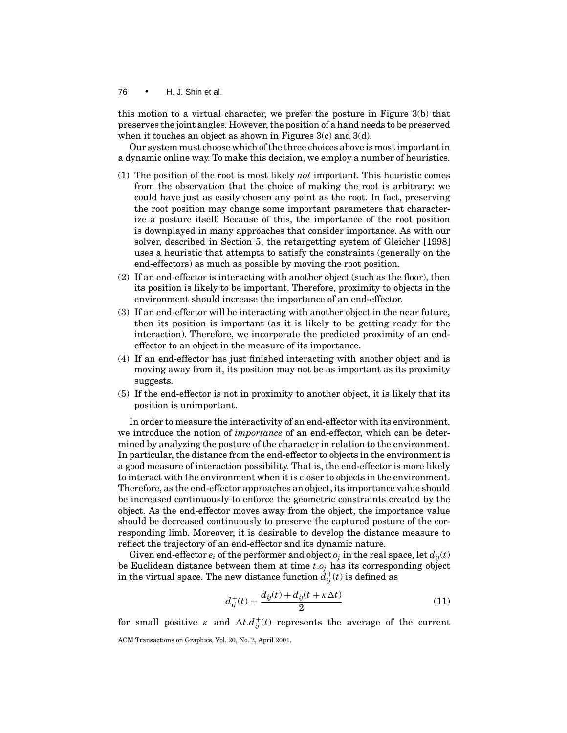this motion to a virtual character, we prefer the posture in Figure 3(b) that preserves the joint angles. However, the position of a hand needs to be preserved when it touches an object as shown in Figures 3(c) and 3(d).

Our system must choose which of the three choices above is most important in a dynamic online way. To make this decision, we employ a number of heuristics.

- (1) The position of the root is most likely *not* important. This heuristic comes from the observation that the choice of making the root is arbitrary: we could have just as easily chosen any point as the root. In fact, preserving the root position may change some important parameters that characterize a posture itself. Because of this, the importance of the root position is downplayed in many approaches that consider importance. As with our solver, described in Section 5, the retargetting system of Gleicher [1998] uses a heuristic that attempts to satisfy the constraints (generally on the end-effectors) as much as possible by moving the root position.
- (2) If an end-effector is interacting with another object (such as the floor), then its position is likely to be important. Therefore, proximity to objects in the environment should increase the importance of an end-effector.
- (3) If an end-effector will be interacting with another object in the near future, then its position is important (as it is likely to be getting ready for the interaction). Therefore, we incorporate the predicted proximity of an endeffector to an object in the measure of its importance.
- (4) If an end-effector has just finished interacting with another object and is moving away from it, its position may not be as important as its proximity suggests.
- (5) If the end-effector is not in proximity to another object, it is likely that its position is unimportant.

In order to measure the interactivity of an end-effector with its environment, we introduce the notion of *importance* of an end-effector, which can be determined by analyzing the posture of the character in relation to the environment. In particular, the distance from the end-effector to objects in the environment is a good measure of interaction possibility. That is, the end-effector is more likely to interact with the environment when it is closer to objects in the environment. Therefore, as the end-effector approaches an object, its importance value should be increased continuously to enforce the geometric constraints created by the object. As the end-effector moves away from the object, the importance value should be decreased continuously to preserve the captured posture of the corresponding limb. Moreover, it is desirable to develop the distance measure to reflect the trajectory of an end-effector and its dynamic nature.

Given end-effector  $e_i$  of the performer and object  $o_i$  in the real space, let  $d_{ij}(t)$ be Euclidean distance between them at time *t*.*oj* has its corresponding object in the virtual space. The new distance function  $\check{d}_{ij}^{+(}t)$  is defined as

$$
d_{ij}^{+}(t) = \frac{d_{ij}(t) + d_{ij}(t + \kappa \Delta t)}{2} \tag{11}
$$

for small positive  $\kappa$  and  $\Delta t.d_{ij}^{+}(t)$  represents the average of the current ACM Transactions on Graphics, Vol. 20, No. 2, April 2001.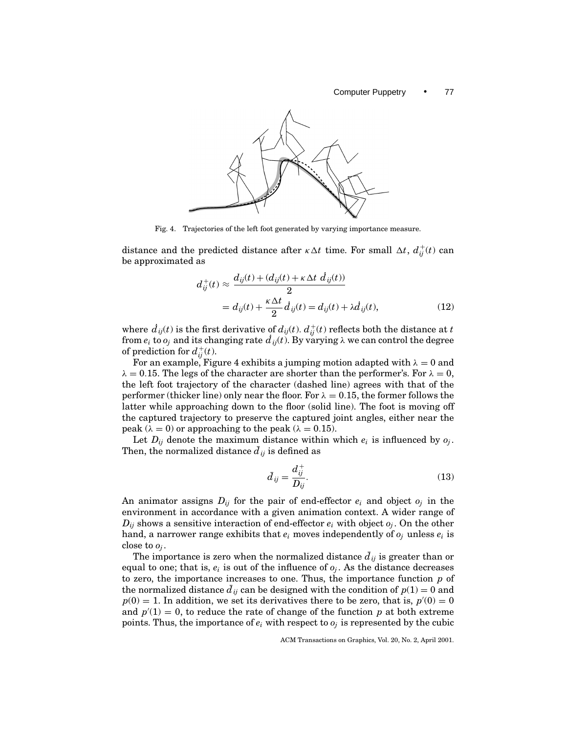

Fig. 4. Trajectories of the left foot generated by varying importance measure.

distance and the predicted distance after  $\kappa \Delta t$  time. For small  $\Delta t$ ,  $d_{ij}^{+}(t)$  can be approximated as

$$
d_{ij}^{+}(t) \approx \frac{d_{ij}(t) + (d_{ij}(t) + \kappa \Delta t \ d_{ij}(t))}{2}
$$
  
= 
$$
d_{ij}(t) + \frac{\kappa \Delta t}{2} \ d_{ij}(t) = d_{ij}(t) + \lambda \ d_{ij}(t),
$$
 (12)

where  $\dot{d}_{ij}(t)$  is the first derivative of  $d_{ij}(t)$ .  $d_{ij}^+(t)$  reflects both the distance at  $t$ where  $a_{ij}(t)$  is the first derivative of  $a_{ij}(t)$ .  $a_{ij}(t)$  reflects both the distance at the origin of the degree of prediction for  $d_{ij}^{+}(t)$ .

For an example, Figure 4 exhibits a jumping motion adapted with  $\lambda = 0$  and  $\lambda = 0.15$ . The legs of the character are shorter than the performer's. For  $\lambda = 0$ , the left foot trajectory of the character (dashed line) agrees with that of the performer (thicker line) only near the floor. For  $\lambda = 0.15$ , the former follows the latter while approaching down to the floor (solid line). The foot is moving off the captured trajectory to preserve the captured joint angles, either near the peak ( $\lambda = 0$ ) or approaching to the peak ( $\lambda = 0.15$ ).

Let  $D_{ij}$  denote the maximum distance within which  $e_i$  is influenced by  $o_j$ . Then, the normalized distance  $d_{ij}$  is defined as

$$
\bar{d}_{ij} = \frac{d_{ij}^+}{D_{ij}}.\tag{13}
$$

An animator assigns  $D_{ij}$  for the pair of end-effector  $e_i$  and object  $o_j$  in the environment in accordance with a given animation context. A wider range of  $D_{ij}$  shows a sensitive interaction of end-effector  $e_i$  with object  $o_j$ . On the other hand, a narrower range exhibits that *ei* moves independently of *oj* unless *ei* is close to *oj* .

The importance is zero when the normalized distance  $d_{ij}$  is greater than or equal to one; that is,  $e_i$  is out of the influence of  $o_j$ . As the distance decreases to zero, the importance increases to one. Thus, the importance function *p* of the normalized distance  $\bar{d}_{ij}$  can be designed with the condition of  $p(1) = 0$  and  $p(0) = 1$ . In addition, we set its derivatives there to be zero, that is,  $p'(0) = 0$ and  $p'(1) = 0$ , to reduce the rate of change of the function p at both extreme points. Thus, the importance of  $e_i$  with respect to  $o_i$  is represented by the cubic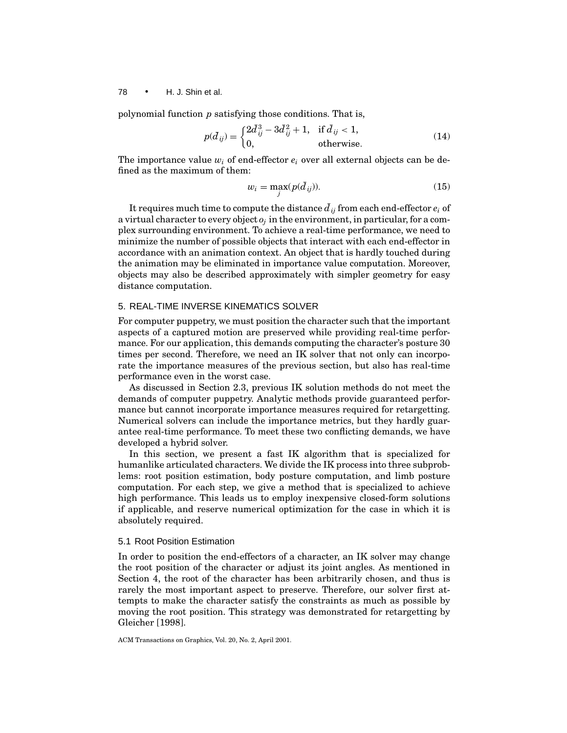polynomial function *p* satisfying those conditions. That is,

$$
p(\bar{d}_{ij}) = \begin{cases} 2d_{ij}^3 - 3d_{ij}^2 + 1, & \text{if } d_{ij} < 1, \\ 0, & \text{otherwise.} \end{cases}
$$
(14)

The importance value  $w_i$  of end-effector  $e_i$  over all external objects can be defined as the maximum of them:

$$
w_i = \max_j(p(\bar{d}_{ij})).
$$
\n(15)

It requires much time to compute the distance  $d_{ij}$  from each end-effector  $e_i$  of a virtual character to every object  $o_i$  in the environment, in particular, for a complex surrounding environment. To achieve a real-time performance, we need to minimize the number of possible objects that interact with each end-effector in accordance with an animation context. An object that is hardly touched during the animation may be eliminated in importance value computation. Moreover, objects may also be described approximately with simpler geometry for easy distance computation.

# 5. REAL-TIME INVERSE KINEMATICS SOLVER

For computer puppetry, we must position the character such that the important aspects of a captured motion are preserved while providing real-time performance. For our application, this demands computing the character's posture 30 times per second. Therefore, we need an IK solver that not only can incorporate the importance measures of the previous section, but also has real-time performance even in the worst case.

As discussed in Section 2.3, previous IK solution methods do not meet the demands of computer puppetry. Analytic methods provide guaranteed performance but cannot incorporate importance measures required for retargetting. Numerical solvers can include the importance metrics, but they hardly guarantee real-time performance. To meet these two conflicting demands, we have developed a hybrid solver.

In this section, we present a fast IK algorithm that is specialized for humanlike articulated characters. We divide the IK process into three subproblems: root position estimation, body posture computation, and limb posture computation. For each step, we give a method that is specialized to achieve high performance. This leads us to employ inexpensive closed-form solutions if applicable, and reserve numerical optimization for the case in which it is absolutely required.

#### 5.1 Root Position Estimation

In order to position the end-effectors of a character, an IK solver may change the root position of the character or adjust its joint angles. As mentioned in Section 4, the root of the character has been arbitrarily chosen, and thus is rarely the most important aspect to preserve. Therefore, our solver first attempts to make the character satisfy the constraints as much as possible by moving the root position. This strategy was demonstrated for retargetting by Gleicher [1998].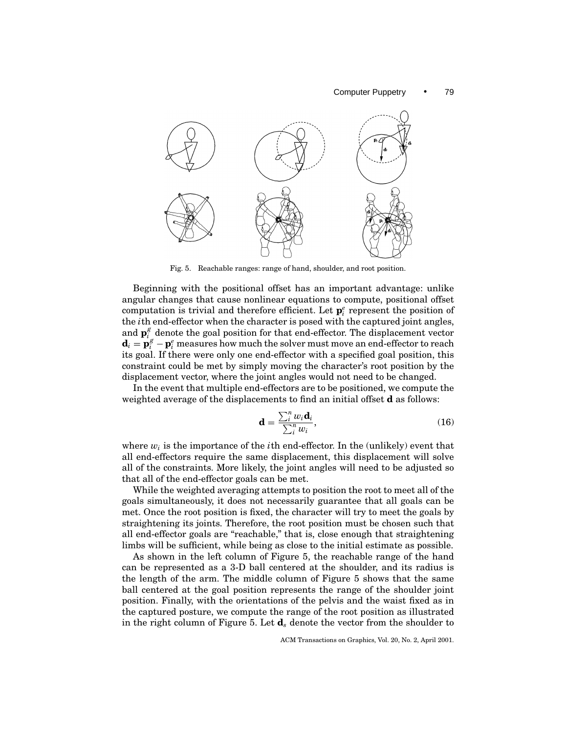#### Computer Puppetry • 79



Fig. 5. Reachable ranges: range of hand, shoulder, and root position.

Beginning with the positional offset has an important advantage: unlike angular changes that cause nonlinear equations to compute, positional offset computation is trivial and therefore efficient. Let  $\mathbf{p}_i^e$  represent the position of the *i*th end-effector when the character is posed with the captured joint angles, and  $\mathbf{p}_{i}^{g}$  denote the goal position for that end-effector. The displacement vector  $\mathbf{d}_i = \mathbf{p}_i^g - \mathbf{p}_i^e$  measures how much the solver must move an end-effector to reach its goal. If there were only one end-effector with a specified goal position, this constraint could be met by simply moving the character's root position by the displacement vector, where the joint angles would not need to be changed.

In the event that multiple end-effectors are to be positioned, we compute the weighted average of the displacements to find an initial offset **d** as follows:

$$
\mathbf{d} = \frac{\sum_{i}^{n} w_{i} \mathbf{d}_{i}}{\sum_{i}^{n} w_{i}},
$$
 (16)

where  $w_i$  is the importance of the *i*th end-effector. In the (unlikely) event that all end-effectors require the same displacement, this displacement will solve all of the constraints. More likely, the joint angles will need to be adjusted so that all of the end-effector goals can be met.

While the weighted averaging attempts to position the root to meet all of the goals simultaneously, it does not necessarily guarantee that all goals can be met. Once the root position is fixed, the character will try to meet the goals by straightening its joints. Therefore, the root position must be chosen such that all end-effector goals are "reachable," that is, close enough that straightening limbs will be sufficient, while being as close to the initial estimate as possible.

As shown in the left column of Figure 5, the reachable range of the hand can be represented as a 3-D ball centered at the shoulder, and its radius is the length of the arm. The middle column of Figure 5 shows that the same ball centered at the goal position represents the range of the shoulder joint position. Finally, with the orientations of the pelvis and the waist fixed as in the captured posture, we compute the range of the root position as illustrated in the right column of Figure 5. Let **d***<sup>s</sup>* denote the vector from the shoulder to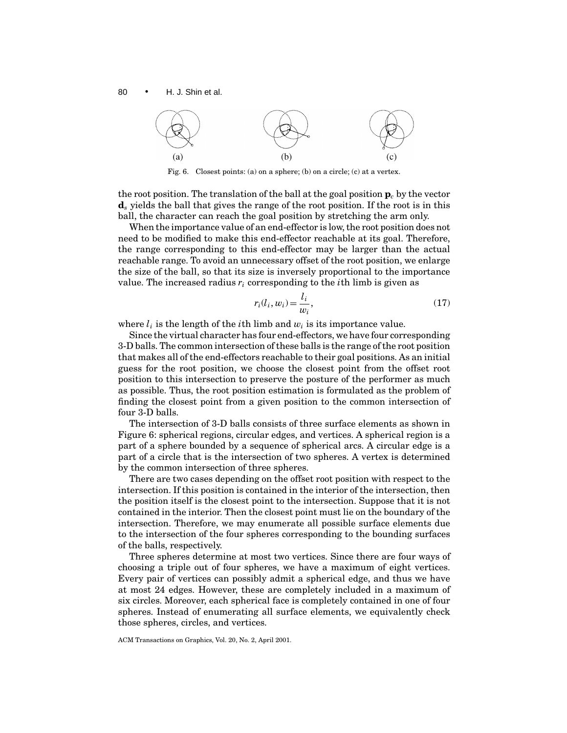

Fig. 6. Closest points: (a) on a sphere; (b) on a circle; (c) at a vertex.

the root position. The translation of the ball at the goal position  $\mathbf{p}_c$  by the vector **d***<sup>s</sup>* yields the ball that gives the range of the root position. If the root is in this ball, the character can reach the goal position by stretching the arm only.

When the importance value of an end-effector is low, the root position does not need to be modified to make this end-effector reachable at its goal. Therefore, the range corresponding to this end-effector may be larger than the actual reachable range. To avoid an unnecessary offset of the root position, we enlarge the size of the ball, so that its size is inversely proportional to the importance value. The increased radius *ri* corresponding to the *i*th limb is given as

$$
r_i(l_i, w_i) = \frac{l_i}{w_i},\tag{17}
$$

where  $l_i$  is the length of the *i*th limb and  $w_i$  is its importance value.

Since the virtual character has four end-effectors, we have four corresponding 3-D balls. The common intersection of these balls is the range of the root position that makes all of the end-effectors reachable to their goal positions. As an initial guess for the root position, we choose the closest point from the offset root position to this intersection to preserve the posture of the performer as much as possible. Thus, the root position estimation is formulated as the problem of finding the closest point from a given position to the common intersection of four 3-D balls.

The intersection of 3-D balls consists of three surface elements as shown in Figure 6: spherical regions, circular edges, and vertices. A spherical region is a part of a sphere bounded by a sequence of spherical arcs. A circular edge is a part of a circle that is the intersection of two spheres. A vertex is determined by the common intersection of three spheres.

There are two cases depending on the offset root position with respect to the intersection. If this position is contained in the interior of the intersection, then the position itself is the closest point to the intersection. Suppose that it is not contained in the interior. Then the closest point must lie on the boundary of the intersection. Therefore, we may enumerate all possible surface elements due to the intersection of the four spheres corresponding to the bounding surfaces of the balls, respectively.

Three spheres determine at most two vertices. Since there are four ways of choosing a triple out of four spheres, we have a maximum of eight vertices. Every pair of vertices can possibly admit a spherical edge, and thus we have at most 24 edges. However, these are completely included in a maximum of six circles. Moreover, each spherical face is completely contained in one of four spheres. Instead of enumerating all surface elements, we equivalently check those spheres, circles, and vertices.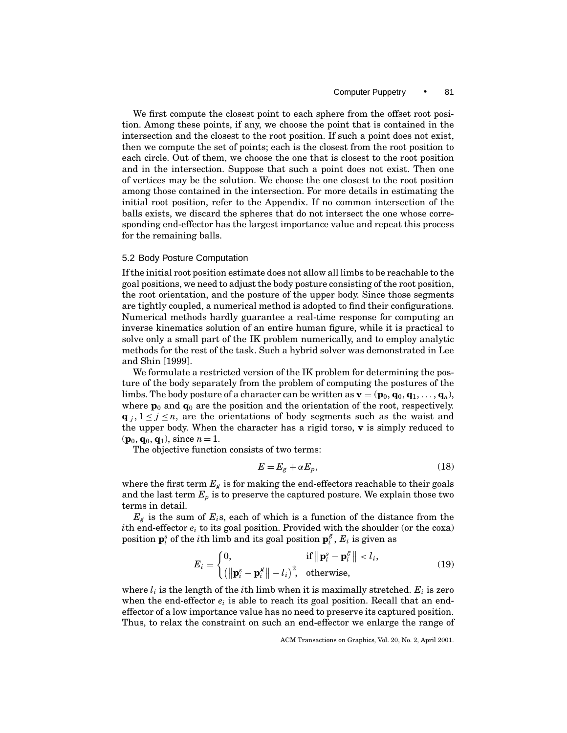We first compute the closest point to each sphere from the offset root position. Among these points, if any, we choose the point that is contained in the intersection and the closest to the root position. If such a point does not exist, then we compute the set of points; each is the closest from the root position to each circle. Out of them, we choose the one that is closest to the root position and in the intersection. Suppose that such a point does not exist. Then one of vertices may be the solution. We choose the one closest to the root position among those contained in the intersection. For more details in estimating the initial root position, refer to the Appendix. If no common intersection of the balls exists, we discard the spheres that do not intersect the one whose corresponding end-effector has the largest importance value and repeat this process for the remaining balls.

## 5.2 Body Posture Computation

If the initial root position estimate does not allow all limbs to be reachable to the goal positions, we need to adjust the body posture consisting of the root position, the root orientation, and the posture of the upper body. Since those segments are tightly coupled, a numerical method is adopted to find their configurations. Numerical methods hardly guarantee a real-time response for computing an inverse kinematics solution of an entire human figure, while it is practical to solve only a small part of the IK problem numerically, and to employ analytic methods for the rest of the task. Such a hybrid solver was demonstrated in Lee and Shin [1999].

We formulate a restricted version of the IK problem for determining the posture of the body separately from the problem of computing the postures of the limbs. The body posture of a character can be written as  $\mathbf{v} = (\mathbf{p}_0, \mathbf{q}_0, \mathbf{q}_1, \dots, \mathbf{q}_n)$ , where  $\mathbf{p}_0$  and  $\mathbf{q}_0$  are the position and the orientation of the root, respectively.  $\mathbf{q}$  *j*,  $1 \leq j \leq n$ , are the orientations of body segments such as the waist and the upper body. When the character has a rigid torso, **v** is simply reduced to  $({\bf p}_0, {\bf q}_0, {\bf q}_1), \text{ since } n = 1.$ 

The objective function consists of two terms:

$$
E = E_g + \alpha E_p,\tag{18}
$$

where the first term  $E_g$  is for making the end-effectors reachable to their goals and the last term  $E_p$  is to preserve the captured posture. We explain those two terms in detail.

 $E_g$  is the sum of  $E_i$ s, each of which is a function of the distance from the *i*th end-effector  $e_i$  to its goal position. Provided with the shoulder (or the coxa) position  $\mathbf{p}_i^s$  of the *i*th limb and its goal position  $\mathbf{p}_i^g$  ,  $E_i$  is given as

$$
E_i = \begin{cases} 0, & \text{if } ||\mathbf{p}_i^s - \mathbf{p}_i^g|| < l_i, \\ (\|\mathbf{p}_i^s - \mathbf{p}_i^g|| - l_i)^2, & \text{otherwise,} \end{cases}
$$
(19)

where  $l_i$  is the length of the *i*th limb when it is maximally stretched.  $E_i$  is zero when the end-effector  $e_i$  is able to reach its goal position. Recall that an endeffector of a low importance value has no need to preserve its captured position. Thus, to relax the constraint on such an end-effector we enlarge the range of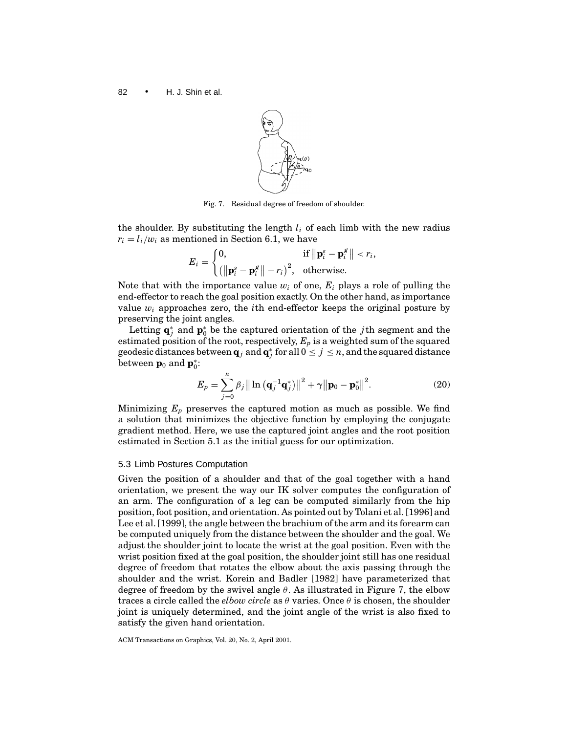

Fig. 7. Residual degree of freedom of shoulder.

the shoulder. By substituting the length  $l_i$  of each limb with the new radius  $r_i = l_i/w_i$  as mentioned in Section 6.1, we have

$$
E_i = \begin{cases} 0, & \text{if } \left\| \mathbf{p}_i^s - \mathbf{p}_i^g \right\| < r_i, \\ \left( \left\| \mathbf{p}_i^s - \mathbf{p}_i^g \right\| - r_i \right)^2, & \text{otherwise.} \end{cases}
$$

Note that with the importance value  $w_i$  of one,  $E_i$  plays a role of pulling the end-effector to reach the goal position exactly. On the other hand, as importance value  $w_i$  approaches zero, the *i*th end-effector keeps the original posture by preserving the joint angles.

Letting  $\mathbf{q}^*_j$  and  $\mathbf{p}^*_0$  be the captured orientation of the *j*th segment and the estimated position of the root, respectively,  $E_p$  is a weighted sum of the squared geodesic distances between  $\mathbf{q}_j$  and  $\mathbf{q}^*_j$  for all  $0\leq j\leq n,$  and the squared distance between  $\mathbf{p}_0$  and  $\mathbf{p}_0^*$ :

$$
E_p = \sum_{j=0}^{n} \beta_j \left\| \ln \left( \mathbf{q}_j^{-1} \mathbf{q}_j^* \right) \right\|^2 + \gamma \left\| \mathbf{p}_0 - \mathbf{p}_0^* \right\|^2.
$$
 (20)

Minimizing  $E_p$  preserves the captured motion as much as possible. We find a solution that minimizes the objective function by employing the conjugate gradient method. Here, we use the captured joint angles and the root position estimated in Section 5.1 as the initial guess for our optimization.

#### 5.3 Limb Postures Computation

Given the position of a shoulder and that of the goal together with a hand orientation, we present the way our IK solver computes the configuration of an arm. The configuration of a leg can be computed similarly from the hip position, foot position, and orientation. As pointed out by Tolani et al. [1996] and Lee et al. [1999], the angle between the brachium of the arm and its forearm can be computed uniquely from the distance between the shoulder and the goal. We adjust the shoulder joint to locate the wrist at the goal position. Even with the wrist position fixed at the goal position, the shoulder joint still has one residual degree of freedom that rotates the elbow about the axis passing through the shoulder and the wrist. Korein and Badler [1982] have parameterized that degree of freedom by the swivel angle  $\theta$ . As illustrated in Figure 7, the elbow traces a circle called the *elbow circle* as  $\theta$  varies. Once  $\theta$  is chosen, the shoulder joint is uniquely determined, and the joint angle of the wrist is also fixed to satisfy the given hand orientation.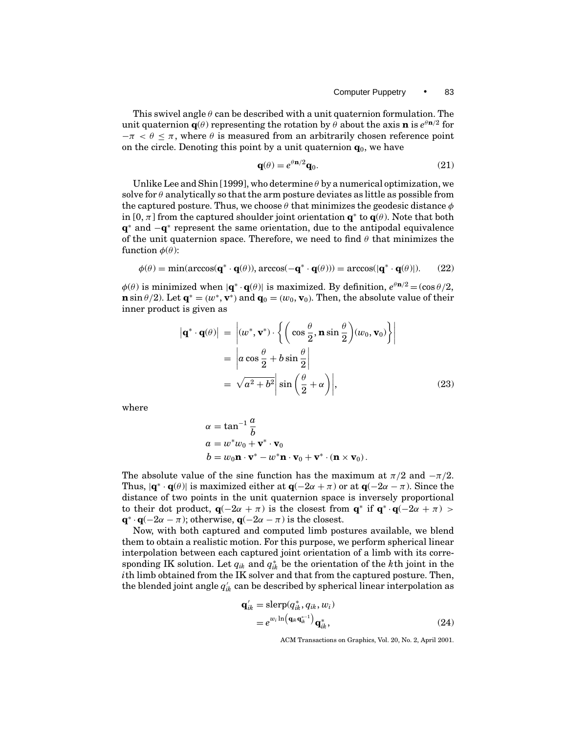This swivel angle  $\theta$  can be described with a unit quaternion formulation. The unit quaternion  $\mathbf{q}(\theta)$  representing the rotation by  $\theta$  about the axis **n** is  $e^{\theta \mathbf{n}/2}$  for  $-\pi < \theta \leq \pi$ , where  $\theta$  is measured from an arbitrarily chosen reference point on the circle. Denoting this point by a unit quaternion  $q_0$ , we have

$$
\mathbf{q}(\theta) = e^{\theta \mathbf{n}/2} \mathbf{q}_0. \tag{21}
$$

Unlike Lee and Shin [1999], who determine  $\theta$  by a numerical optimization, we solve for  $\theta$  analytically so that the arm posture deviates as little as possible from the captured posture. Thus, we choose  $\theta$  that minimizes the geodesic distance  $\phi$ in [0,  $\pi$ ] from the captured shoulder joint orientation **q**<sup>∗</sup> to **q**( $\theta$ ). Note that both **q**<sup>∗</sup> and −**q**<sup>∗</sup> represent the same orientation, due to the antipodal equivalence of the unit quaternion space. Therefore, we need to find  $\theta$  that minimizes the function  $\phi(\theta)$ :

$$
\phi(\theta) = \min(\arccos(\mathbf{q}^* \cdot \mathbf{q}(\theta)), \arccos(-\mathbf{q}^* \cdot \mathbf{q}(\theta))) = \arccos(|\mathbf{q}^* \cdot \mathbf{q}(\theta)|). \tag{22}
$$

 $\phi(\theta)$  is minimized when  $|\mathbf{q}^* \cdot \mathbf{q}(\theta)|$  is maximized. By definition,  $e^{\theta \mathbf{n}/2} = (\cos \theta/2,$ **n** sin  $\theta/2$ ). Let  $\mathbf{q}^* = (w^*, \mathbf{v}^*)$  and  $\mathbf{q}_0 = (w_0, \mathbf{v}_0)$ . Then, the absolute value of their inner product is given as

$$
\left| \mathbf{q}^* \cdot \mathbf{q}(\theta) \right| = \left| (w^*, \mathbf{v}^*) \cdot \left\{ \left( \cos \frac{\theta}{2}, \mathbf{n} \sin \frac{\theta}{2} \right) (w_0, \mathbf{v}_0) \right\} \right|
$$
  
= 
$$
\left| a \cos \frac{\theta}{2} + b \sin \frac{\theta}{2} \right|
$$
  
= 
$$
\sqrt{a^2 + b^2} \left| \sin \left( \frac{\theta}{2} + \alpha \right) \right|,
$$
 (23)

where

$$
\alpha = \tan^{-1} \frac{a}{b}
$$
  
\n
$$
a = w^* w_0 + \mathbf{v}^* \cdot \mathbf{v}_0
$$
  
\n
$$
b = w_0 \mathbf{n} \cdot \mathbf{v}^* - w^* \mathbf{n} \cdot \mathbf{v}_0 + \mathbf{v}^* \cdot (\mathbf{n} \times \mathbf{v}_0).
$$

The absolute value of the sine function has the maximum at  $\pi/2$  and  $-\pi/2$ . Thus,  $|\mathbf{q}^* \cdot \mathbf{q}(\theta)|$  is maximized either at  $\mathbf{q}(-2\alpha + \pi)$  or at  $\mathbf{q}(-2\alpha - \pi)$ . Since the distance of two points in the unit quaternion space is inversely proportional to their dot product,  $\mathbf{q}(-2\alpha + \pi)$  is the closest from  $\mathbf{q}^*$  if  $\mathbf{q}^* \cdot \mathbf{q}(-2\alpha + \pi)$ **q**<sup>∗</sup> · **q**(−2α − π); otherwise, **q**(−2α − π) is the closest.

Now, with both captured and computed limb postures available, we blend them to obtain a realistic motion. For this purpose, we perform spherical linear interpolation between each captured joint orientation of a limb with its corresponding IK solution. Let  $q_{ik}$  and  $q_{ik}^*$  be the orientation of the  $k$ <sup>th</sup> joint in the *i*th limb obtained from the IK solver and that from the captured posture. Then, the blended joint angle  $q'_{ik}$  can be described by spherical linear interpolation as

$$
\mathbf{q}'_{ik} = \text{slerp}(q^*_{ik}, q_{ik}, w_i)
$$
  
=  $e^{w_i \ln(\mathbf{q}_{ik}\mathbf{q}^{*-1}_{ik})} \mathbf{q}^*_{ik},$  (24)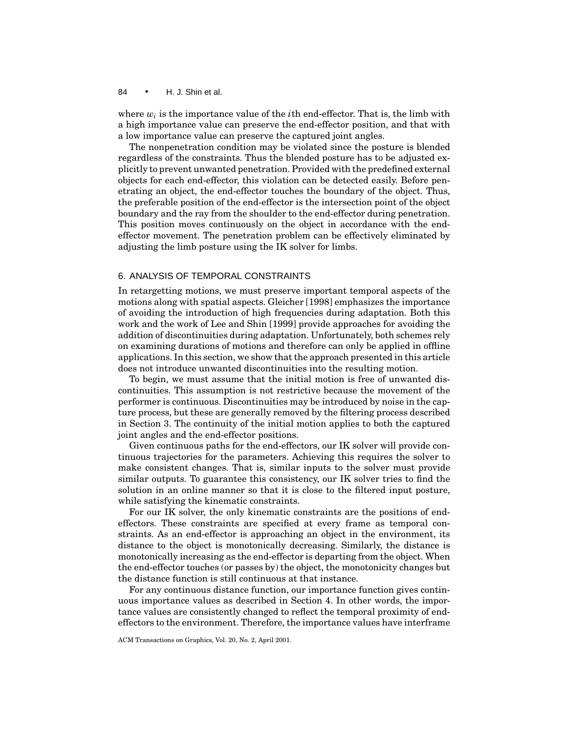where  $w_i$  is the importance value of the *i*th end-effector. That is, the limb with a high importance value can preserve the end-effector position, and that with a low importance value can preserve the captured joint angles.

The nonpenetration condition may be violated since the posture is blended regardless of the constraints. Thus the blended posture has to be adjusted explicitly to prevent unwanted penetration. Provided with the predefined external objects for each end-effector, this violation can be detected easily. Before penetrating an object, the end-effector touches the boundary of the object. Thus, the preferable position of the end-effector is the intersection point of the object boundary and the ray from the shoulder to the end-effector during penetration. This position moves continuously on the object in accordance with the endeffector movement. The penetration problem can be effectively eliminated by adjusting the limb posture using the IK solver for limbs.

## 6. ANALYSIS OF TEMPORAL CONSTRAINTS

In retargetting motions, we must preserve important temporal aspects of the motions along with spatial aspects. Gleicher [1998] emphasizes the importance of avoiding the introduction of high frequencies during adaptation. Both this work and the work of Lee and Shin [1999] provide approaches for avoiding the addition of discontinuities during adaptation. Unfortunately, both schemes rely on examining durations of motions and therefore can only be applied in offline applications. In this section, we show that the approach presented in this article does not introduce unwanted discontinuities into the resulting motion.

To begin, we must assume that the initial motion is free of unwanted discontinuities. This assumption is not restrictive because the movement of the performer is continuous. Discontinuities may be introduced by noise in the capture process, but these are generally removed by the filtering process described in Section 3. The continuity of the initial motion applies to both the captured joint angles and the end-effector positions.

Given continuous paths for the end-effectors, our IK solver will provide continuous trajectories for the parameters. Achieving this requires the solver to make consistent changes. That is, similar inputs to the solver must provide similar outputs. To guarantee this consistency, our IK solver tries to find the solution in an online manner so that it is close to the filtered input posture, while satisfying the kinematic constraints.

For our IK solver, the only kinematic constraints are the positions of endeffectors. These constraints are specified at every frame as temporal constraints. As an end-effector is approaching an object in the environment, its distance to the object is monotonically decreasing. Similarly, the distance is monotonically increasing as the end-effector is departing from the object. When the end-effector touches (or passes by) the object, the monotonicity changes but the distance function is still continuous at that instance.

For any continuous distance function, our importance function gives continuous importance values as described in Section 4. In other words, the importance values are consistently changed to reflect the temporal proximity of endeffectors to the environment. Therefore, the importance values have interframe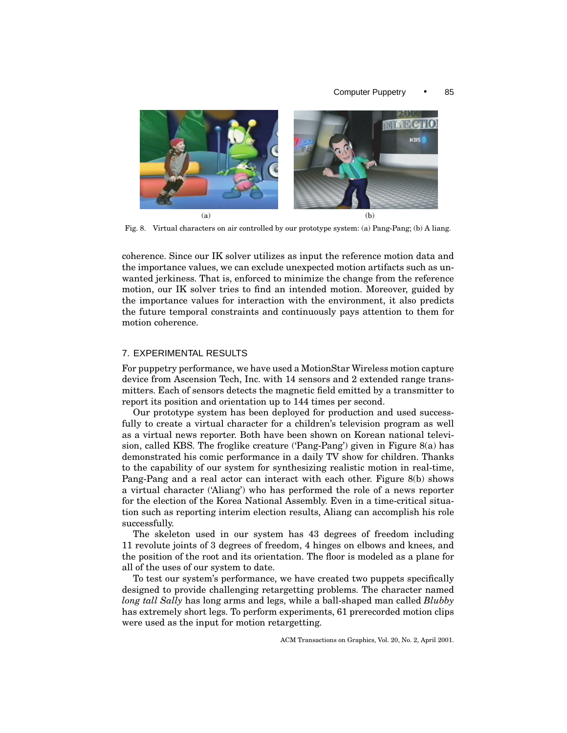

Fig. 8. Virtual characters on air controlled by our prototype system: (a) Pang-Pang; (b) A liang.

coherence. Since our IK solver utilizes as input the reference motion data and the importance values, we can exclude unexpected motion artifacts such as unwanted jerkiness. That is, enforced to minimize the change from the reference motion, our IK solver tries to find an intended motion. Moreover, guided by the importance values for interaction with the environment, it also predicts the future temporal constraints and continuously pays attention to them for motion coherence.

## 7. EXPERIMENTAL RESULTS

For puppetry performance, we have used a MotionStar Wireless motion capture device from Ascension Tech, Inc. with 14 sensors and 2 extended range transmitters. Each of sensors detects the magnetic field emitted by a transmitter to report its position and orientation up to 144 times per second.

Our prototype system has been deployed for production and used successfully to create a virtual character for a children's television program as well as a virtual news reporter. Both have been shown on Korean national television, called KBS. The froglike creature ('Pang-Pang') given in Figure 8(a) has demonstrated his comic performance in a daily TV show for children. Thanks to the capability of our system for synthesizing realistic motion in real-time, Pang-Pang and a real actor can interact with each other. Figure 8(b) shows a virtual character ('Aliang') who has performed the role of a news reporter for the election of the Korea National Assembly. Even in a time-critical situation such as reporting interim election results, Aliang can accomplish his role successfully.

The skeleton used in our system has 43 degrees of freedom including 11 revolute joints of 3 degrees of freedom, 4 hinges on elbows and knees, and the position of the root and its orientation. The floor is modeled as a plane for all of the uses of our system to date.

To test our system's performance, we have created two puppets specifically designed to provide challenging retargetting problems. The character named *long tall Sally* has long arms and legs, while a ball-shaped man called *Blubby* has extremely short legs. To perform experiments, 61 prerecorded motion clips were used as the input for motion retargetting.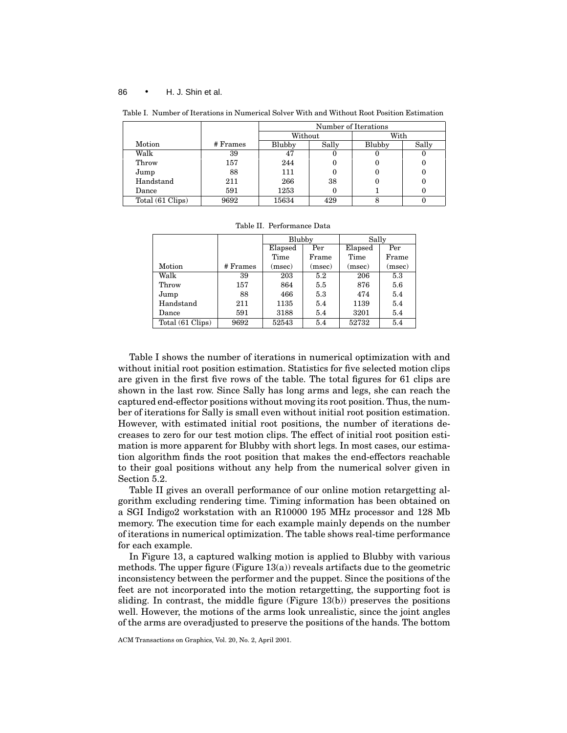|                  |          | Number of Iterations |       |        |       |  |
|------------------|----------|----------------------|-------|--------|-------|--|
|                  |          | Without              |       | With   |       |  |
| Motion           | # Frames | Blubby               | Sally | Blubby | Sally |  |
| Walk             | 39       | 47                   |       |        |       |  |
| Throw            | 157      | 244                  |       |        |       |  |
| Jump             | 88       | 111                  |       |        |       |  |
| Handstand        | 211      | 266                  | 38    |        |       |  |
| Dance            | 591      | 1253                 |       |        |       |  |
| Total (61 Clips) | 9692     | 15634                | 429   |        |       |  |

Table I. Number of Iterations in Numerical Solver With and Without Root Position Estimation

|                  |          | Blubby  |              | Sally   |        |
|------------------|----------|---------|--------------|---------|--------|
|                  |          | Elapsed | $_{\rm Per}$ | Elapsed | Per    |
|                  |          | Time    | Frame        | Time    | Frame  |
| Motion           | # Frames | (msec)  | (msec)       | (msec)  | (msec) |
| Walk             | 39       | 203     | 5.2          | 206     | 5.3    |
| Throw            | 157      | 864     | 5.5          | 876     | 5.6    |
| Jump             | 88       | 466     | 5.3          | 474     | 5.4    |
| Handstand        | 211      | 1135    | 5.4          | 1139    | 5.4    |
| Dance            | 591      | 3188    | 5.4          | 3201    | 5.4    |
| Total (61 Clips) | 9692     | 52543   | 5.4          | 52732   | 5.4    |

Table II. Performance Data

Table I shows the number of iterations in numerical optimization with and without initial root position estimation. Statistics for five selected motion clips are given in the first five rows of the table. The total figures for 61 clips are shown in the last row. Since Sally has long arms and legs, she can reach the captured end-effector positions without moving its root position. Thus, the number of iterations for Sally is small even without initial root position estimation. However, with estimated initial root positions, the number of iterations decreases to zero for our test motion clips. The effect of initial root position estimation is more apparent for Blubby with short legs. In most cases, our estimation algorithm finds the root position that makes the end-effectors reachable to their goal positions without any help from the numerical solver given in Section 5.2.

Table II gives an overall performance of our online motion retargetting algorithm excluding rendering time. Timing information has been obtained on a SGI Indigo2 workstation with an R10000 195 MHz processor and 128 Mb memory. The execution time for each example mainly depends on the number of iterations in numerical optimization. The table shows real-time performance for each example.

In Figure 13, a captured walking motion is applied to Blubby with various methods. The upper figure (Figure 13(a)) reveals artifacts due to the geometric inconsistency between the performer and the puppet. Since the positions of the feet are not incorporated into the motion retargetting, the supporting foot is sliding. In contrast, the middle figure (Figure 13(b)) preserves the positions well. However, the motions of the arms look unrealistic, since the joint angles of the arms are overadjusted to preserve the positions of the hands. The bottom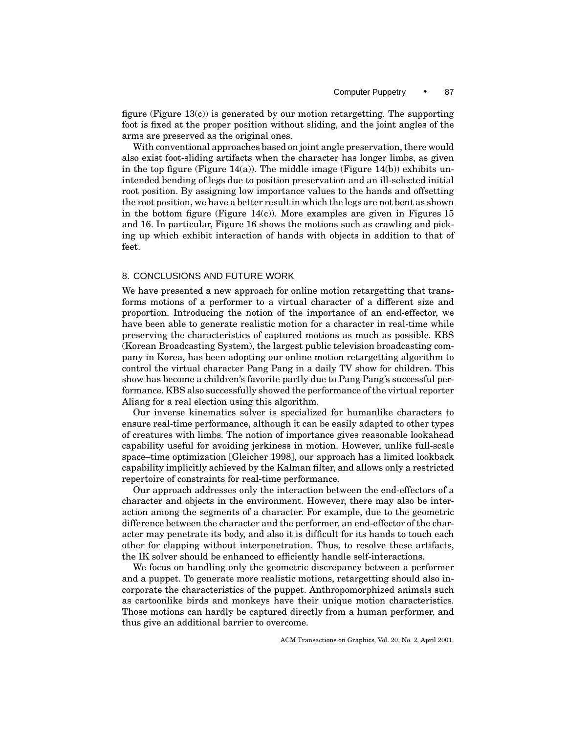figure (Figure 13 $(c)$ ) is generated by our motion retargetting. The supporting foot is fixed at the proper position without sliding, and the joint angles of the arms are preserved as the original ones.

With conventional approaches based on joint angle preservation, there would also exist foot-sliding artifacts when the character has longer limbs, as given in the top figure (Figure 14(a)). The middle image (Figure 14(b)) exhibits unintended bending of legs due to position preservation and an ill-selected initial root position. By assigning low importance values to the hands and offsetting the root position, we have a better result in which the legs are not bent as shown in the bottom figure (Figure 14(c)). More examples are given in Figures 15 and 16. In particular, Figure 16 shows the motions such as crawling and picking up which exhibit interaction of hands with objects in addition to that of feet.

## 8. CONCLUSIONS AND FUTURE WORK

We have presented a new approach for online motion retargetting that transforms motions of a performer to a virtual character of a different size and proportion. Introducing the notion of the importance of an end-effector, we have been able to generate realistic motion for a character in real-time while preserving the characteristics of captured motions as much as possible. KBS (Korean Broadcasting System), the largest public television broadcasting company in Korea, has been adopting our online motion retargetting algorithm to control the virtual character Pang Pang in a daily TV show for children. This show has become a children's favorite partly due to Pang Pang's successful performance. KBS also successfully showed the performance of the virtual reporter Aliang for a real election using this algorithm.

Our inverse kinematics solver is specialized for humanlike characters to ensure real-time performance, although it can be easily adapted to other types of creatures with limbs. The notion of importance gives reasonable lookahead capability useful for avoiding jerkiness in motion. However, unlike full-scale space–time optimization [Gleicher 1998], our approach has a limited lookback capability implicitly achieved by the Kalman filter, and allows only a restricted repertoire of constraints for real-time performance.

Our approach addresses only the interaction between the end-effectors of a character and objects in the environment. However, there may also be interaction among the segments of a character. For example, due to the geometric difference between the character and the performer, an end-effector of the character may penetrate its body, and also it is difficult for its hands to touch each other for clapping without interpenetration. Thus, to resolve these artifacts, the IK solver should be enhanced to efficiently handle self-interactions.

We focus on handling only the geometric discrepancy between a performer and a puppet. To generate more realistic motions, retargetting should also incorporate the characteristics of the puppet. Anthropomorphized animals such as cartoonlike birds and monkeys have their unique motion characteristics. Those motions can hardly be captured directly from a human performer, and thus give an additional barrier to overcome.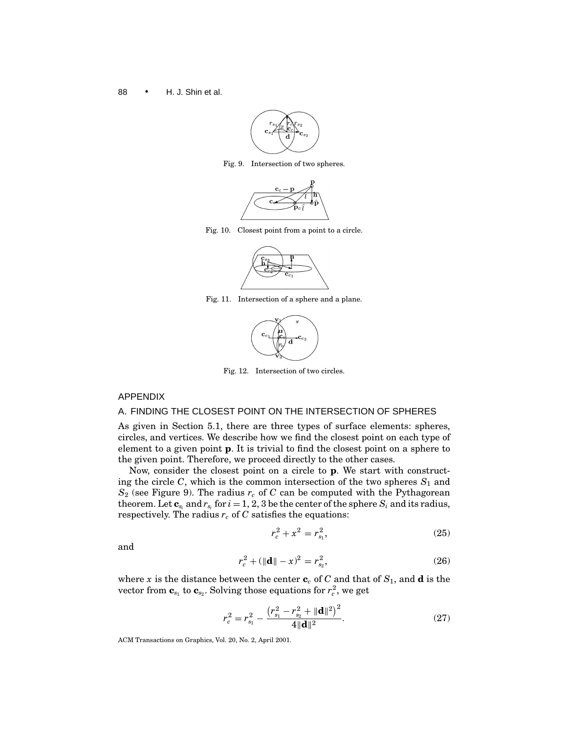

Fig. 9. Intersection of two spheres.



Fig. 10. Closest point from a point to a circle.



Fig. 11. Intersection of a sphere and a plane.



Fig. 12. Intersection of two circles.

## APPENDIX

## A. FINDING THE CLOSEST POINT ON THE INTERSECTION OF SPHERES

As given in Section 5.1, there are three types of surface elements: spheres, circles, and vertices. We describe how we find the closest point on each type of element to a given point **p**. It is trivial to find the closest point on a sphere to the given point. Therefore, we proceed directly to the other cases.

Now, consider the closest point on a circle to **p**. We start with constructing the circle  $C$ , which is the common intersection of the two spheres  $S_1$  and  $S_2$  (see Figure 9). The radius  $r_c$  of  $C$  can be computed with the Pythagorean theorem. Let  $\mathbf{c}_{s_i}$  and  $r_{s_i}$  for  $i = 1, 2, 3$  be the center of the sphere  $S_i$  and its radius, respectively. The radius  $r_c$  of C satisfies the equations:

$$
r_c^2 + x^2 = r_{s_1}^2,\tag{25}
$$

and

$$
r_c^2 + (\|\mathbf{d}\| - x)^2 = r_{s_2}^2,\tag{26}
$$

where *x* is the distance between the center  $\mathbf{c}_c$  of *C* and that of  $S_1$ , and **d** is the vector from  $\mathbf{c}_{s_1}$  to  $\mathbf{c}_{s_2}$ . Solving those equations for  $r_c^2$ , we get

$$
r_c^2 = r_{s_1}^2 - \frac{\left(r_{s_1}^2 - r_{s_2}^2 + \|\mathbf{d}\|^2\right)^2}{4\|\mathbf{d}\|^2}.
$$
 (27)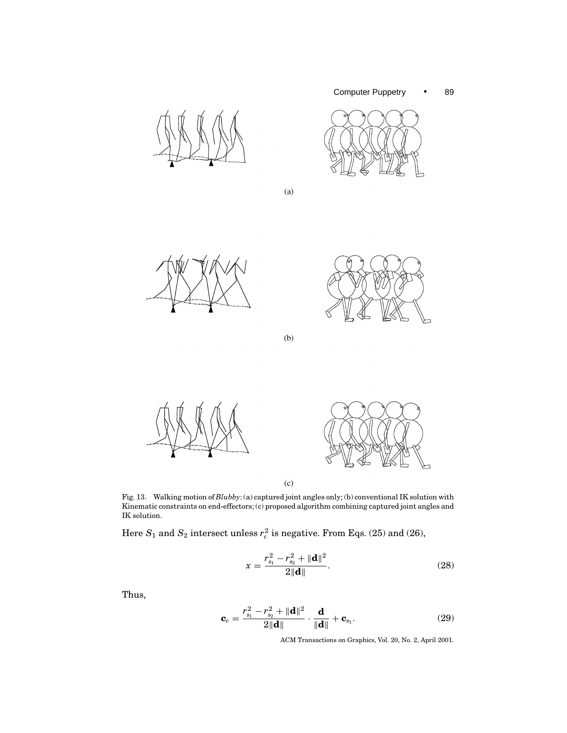



 $(a)$ 





 $(b)$ 





Fig. 13. Walking motion of *Blubby*: (a) captured joint angles only; (b) conventional IK solution with Kinematic constraints on end-effectors; (c) proposed algorithm combining captured joint angles and IK solution.

 $(c)$ 

Here  $S_1$  and  $S_2$  intersect unless  $r_c^2$  is negative. From Eqs. (25) and (26),

$$
x = \frac{r_{s_1}^2 - r_{s_2}^2 + ||\mathbf{d}||^2}{2||\mathbf{d}||}.
$$
 (28)

Thus,

$$
\mathbf{c}_c = \frac{r_{s_1}^2 - r_{s_2}^2 + ||\mathbf{d}||^2}{2||\mathbf{d}||} \cdot \frac{\mathbf{d}}{||\mathbf{d}||} + \mathbf{c}_{s_1}.
$$
 (29)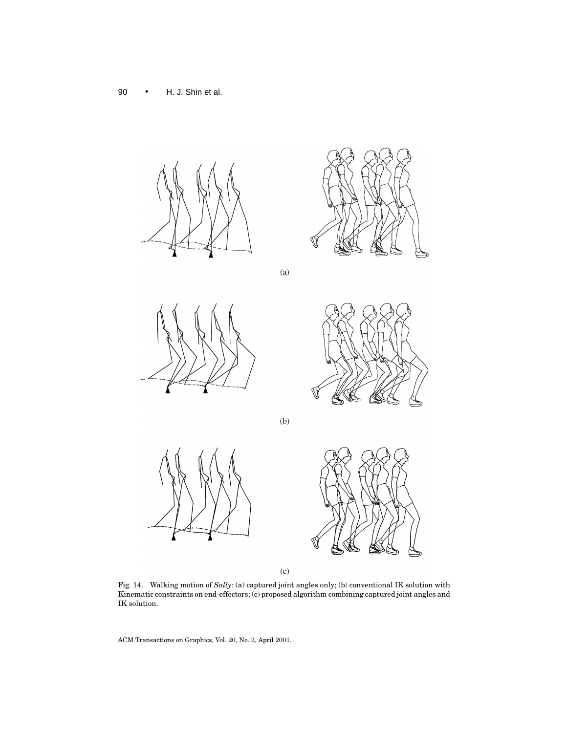



 $(a)$ 





 $(b)$ 





 $(c)$ 

Fig. 14. Walking motion of *Sally*: (a) captured joint angles only; (b) conventional IK solution with Kinematic constraints on end-effectors; (c) proposed algorithm combining captured joint angles and IK solution.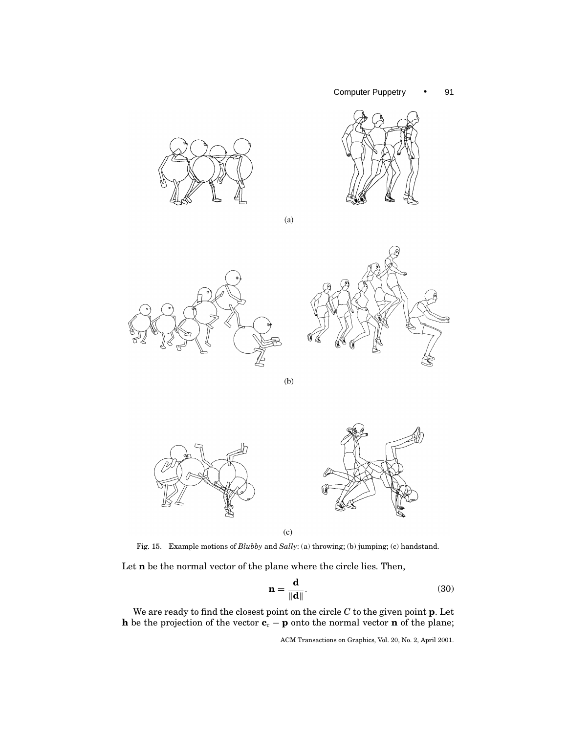

 $(a)$ 





 $(b)$ 



 $(c)$ 

Fig. 15. Example motions of *Blubby* and *Sally*: (a) throwing; (b) jumping; (c) handstand.

Let **n** be the normal vector of the plane where the circle lies. Then,

$$
\mathbf{n} = \frac{\mathbf{d}}{\|\mathbf{d}\|}.
$$
 (30)

We are ready to find the closest point on the circle *C* to the given point **p**. Let **h** be the projection of the vector  $\mathbf{c}_c - \mathbf{p}$  onto the normal vector **n** of the plane;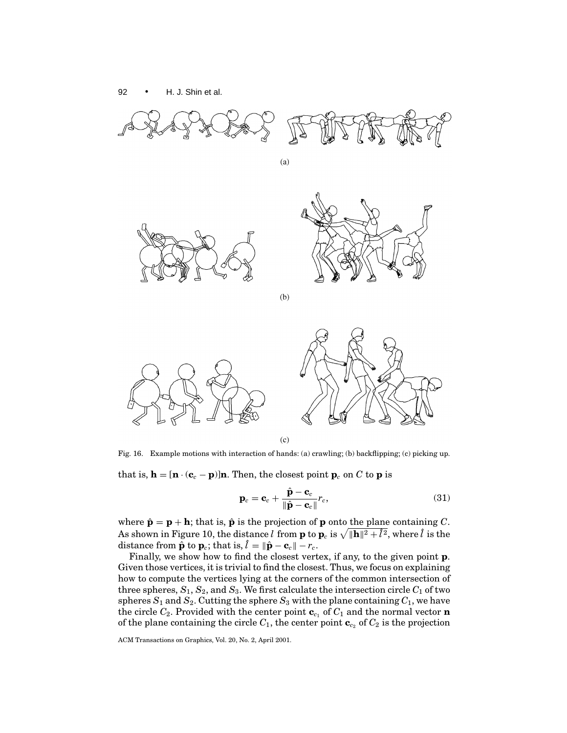

Fig. 16. Example motions with interaction of hands: (a) crawling; (b) backflipping; (c) picking up.

that is,  $\mathbf{h} = [\mathbf{n} \cdot (\mathbf{c}_c - \mathbf{p})] \mathbf{n}$ . Then, the closest point  $\mathbf{p}_c$  on *C* to **p** is

$$
\mathbf{p}_c = \mathbf{c}_c + \frac{\hat{\mathbf{p}} - \mathbf{c}_c}{\|\hat{\mathbf{p}} - \mathbf{c}_c\|} r_c,
$$
\n(31)

where  $\hat{\mathbf{p}} = \mathbf{p} + \mathbf{h}$ ; that is,  $\hat{\mathbf{p}}$  is the projection of **p** onto the plane containing *C*. As shown in Figure 10, the distance *l* from **p** to **p**<sub>*c*</sub> is  $\sqrt{\|\mathbf{h}\|^2 + \hat{l}^2}$ , where  $\hat{l}$  is the distance from  $\hat{\mathbf{p}}$  to  $\mathbf{p}_c$ ; that is,  $\hat{l} = ||\hat{\mathbf{p}} - \mathbf{c}_c|| - r_c$ .

Finally, we show how to find the closest vertex, if any, to the given point **p**. Given those vertices, it is trivial to find the closest. Thus, we focus on explaining how to compute the vertices lying at the corners of the common intersection of three spheres,  $S_1$ ,  $S_2$ , and  $S_3$ . We first calculate the intersection circle  $C_1$  of two spheres  $S_1$  and  $S_2$ . Cutting the sphere  $S_3$  with the plane containing  $C_1$ , we have the circle  $C_2$ . Provided with the center point  $\mathbf{c}_{c_1}$  of  $C_1$  and the normal vector **n** of the plane containing the circle  $C_1$ , the center point  $\mathbf{c}_{c_2}$  of  $C_2$  is the projection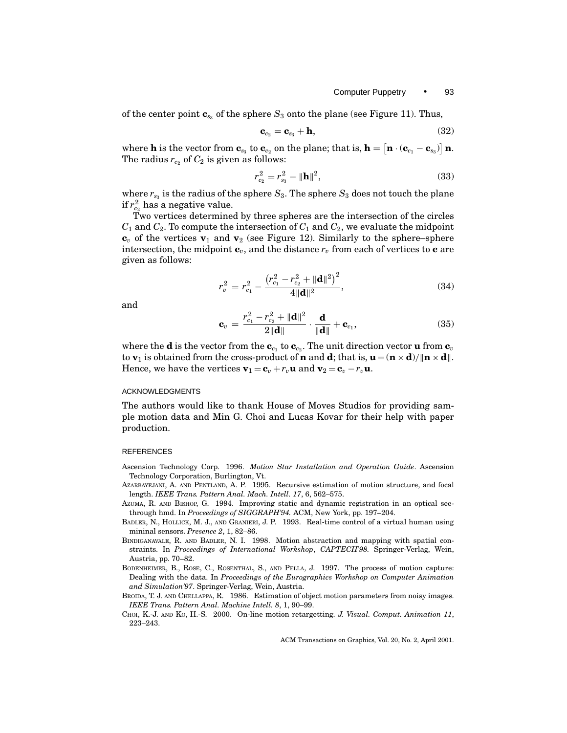of the center point  $\mathbf{c}_{s_2}$  of the sphere  $S_3$  onto the plane (see Figure 11). Thus,

$$
\mathbf{c}_{c_2} = \mathbf{c}_{s_3} + \mathbf{h},\tag{32}
$$

where **h** is the vector from  $\mathbf{c}_{s_3}$  to  $\mathbf{c}_{c_2}$  on the plane; that is,  $\mathbf{h} = [\mathbf{n} \cdot (\mathbf{c}_{c_1} - \mathbf{c}_{s_3})] \mathbf{n}$ . The radius  $r_c$ , of  $C_2$  is given as follows:

$$
r_{c_2}^2 = r_{s_3}^2 - ||\mathbf{h}||^2,\tag{33}
$$

where  $r_{s_3}$  is the radius of the sphere  $S_3$ . The sphere  $S_3$  does not touch the plane if  $r_{c_2}^2$  has a negative value.

Two vertices determined by three spheres are the intersection of the circles  $C_1$  and  $C_2$ . To compute the intersection of  $C_1$  and  $C_2$ , we evaluate the midpoint  $\mathbf{c}_v$  of the vertices  $\mathbf{v}_1$  and  $\mathbf{v}_2$  (see Figure 12). Similarly to the sphere–sphere intersection, the midpoint  $\mathbf{c}_v$ , and the distance  $r_v$  from each of vertices to **c** are given as follows:

$$
r_v^2 = r_{c_1}^2 - \frac{\left(r_{c_1}^2 - r_{c_2}^2 + \|\mathbf{d}\|^2\right)^2}{4\|\mathbf{d}\|^2},\tag{34}
$$

and

$$
\mathbf{c}_v = \frac{r_{c_1}^2 - r_{c_2}^2 + ||\mathbf{d}||^2}{2||\mathbf{d}||} \cdot \frac{\mathbf{d}}{||\mathbf{d}||} + \mathbf{c}_{c_1},
$$
(35)

where the **d** is the vector from the  $\mathbf{c}_{c_1}$  to  $\mathbf{c}_{c_2}$ . The unit direction vector **u** from  $\mathbf{c}_v$ to **v**<sub>1</sub> is obtained from the cross-product of **n** and **d**; that is,  $\mathbf{u} = (\mathbf{n} \times \mathbf{d}) / ||\mathbf{n} \times \mathbf{d}||$ . Hence, we have the vertices  $\mathbf{v}_1 = \mathbf{c}_v + r_v \mathbf{u}$  and  $\mathbf{v}_2 = \mathbf{c}_v - r_v \mathbf{u}$ .

#### ACKNOWLEDGMENTS

The authors would like to thank House of Moves Studios for providing sample motion data and Min G. Choi and Lucas Kovar for their help with paper production.

#### REFERENCES

- Ascension Technology Corp. 1996. *Motion Star Installation and Operation Guide*. Ascension Technology Corporation, Burlington, Vt.
- AZARBAYEJANI, A. AND PENTLAND, A. P. 1995. Recursive estimation of motion structure, and focal length. *IEEE Trans. Pattern Anal. Mach. Intell. 17*, 6, 562–575.
- AZUMA, R. AND BISHOP, G. 1994. Improving static and dynamic registration in an optical seethrough hmd. In *Proceedings of SIGGRAPH'94.* ACM, New York, pp. 197–204.
- BADLER, N., HOLLICK, M. J., AND GRANIERI, J. P. 1993. Real-time control of a virtual human using mininal sensors. *Presence 2*, 1, 82–86.
- BINDIGANAVALE, R. AND BADLER, N. I. 1998. Motion abstraction and mapping with spatial constraints. In *Proceedings of International Workshop*, *CAPTECH'98.* Springer-Verlag, Wein, Austria, pp. 70–82.
- BODENHEIMER, B., ROSE, C., ROSENTHAL, S., AND PELLA, J. 1997. The process of motion capture: Dealing with the data. In *Proceedings of the Eurographics Workshop on Computer Animation and Simulation'97*. Springer-Verlag, Wein, Austria.
- BROIDA, T. J. AND CHELLAPPA, R. 1986. Estimation of object motion parameters from noisy images. *IEEE Trans. Pattern Anal. Machine Intell. 8*, 1, 90–99.
- CHOI, K.-J. AND KO, H.-S. 2000. On-line motion retargetting. *J. Visual. Comput. Animation 11*, 223–243.